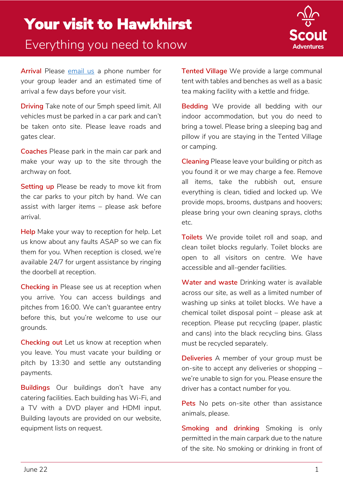

**Arrival** Please [email us](mailto:info@scoutadventures.org.uk) a phone number for your group leader and an estimated time of arrival a few days before your visit.

**Driving** Take note of our 5mph speed limit. All vehicles must be parked in a car park and can't be taken onto site. Please leave roads and gates clear.

**Coaches** Please park in the main car park and make your way up to the site through the archway on foot.

**Setting up** Please be ready to move kit from the car parks to your pitch by hand. We can assist with larger items – please ask before arrival.

**Help** Make your way to reception for help. Let us know about any faults ASAP so we can fix them for you. When reception is closed, we're available 24/7 for urgent assistance by ringing the doorbell at reception.

**Checking in** Please see us at reception when you arrive. You can access buildings and pitches from 16:00. We can't guarantee entry before this, but you're welcome to use our grounds.

**Checking out** Let us know at reception when you leave. You must vacate your building or pitch by 13:30 and settle any outstanding payments.

**Buildings** Our buildings don't have any catering facilities. Each building has Wi-Fi, and a TV with a DVD player and HDMI input. Building layouts are provided on our website, equipment lists on request.

**Tented Village** We provide a large communal tent with tables and benches as well as a basic tea making facility with a kettle and fridge.

**Bedding** We provide all bedding with our indoor accommodation, but you do need to bring a towel. Please bring a sleeping bag and pillow if you are staying in the Tented Village or camping.

**Cleaning** Please leave your building or pitch as you found it or we may charge a fee. Remove all items, take the rubbish out, ensure everything is clean, tidied and locked up. We provide mops, brooms, dustpans and hoovers; please bring your own cleaning sprays, cloths etc.

**Toilets** We provide toilet roll and soap, and clean toilet blocks regularly. Toilet blocks are open to all visitors on centre. We have accessible and all-gender facilities.

**Water and waste** Drinking water is available across our site, as well as a limited number of washing up sinks at toilet blocks. We have a chemical toilet disposal point – please ask at reception. Please put recycling (paper, plastic and cans) into the black recycling bins. Glass must be recycled separately.

**Deliveries** A member of your group must be on-site to accept any deliveries or shopping – we're unable to sign for you. Please ensure the driver has a contact number for you.

**Pets** No pets on-site other than assistance animals, please.

**Smoking and drinking** Smoking is only permitted in the main carpark due to the nature of the site. No smoking or drinking in front of